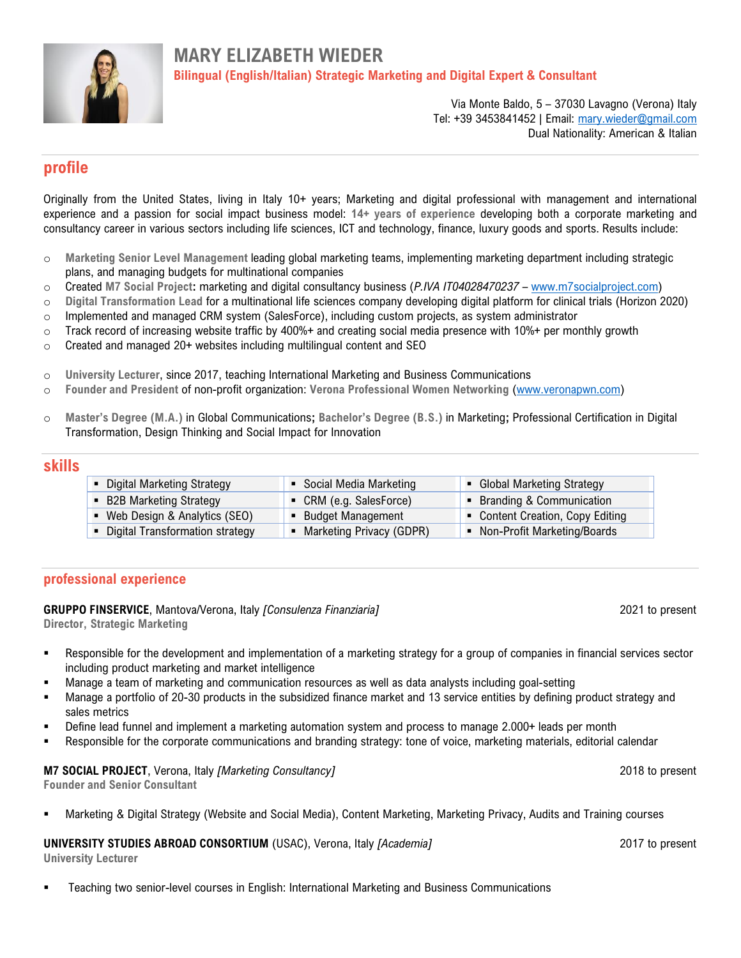

# **MARY ELIZABETH WIEDER Bilingual (English/Italian) Strategic Marketing and Digital Expert & Consultant**

Via Monte Baldo, 5 – 37030 Lavagno (Verona) Italy Tel: +39 3453841452 | Email: [mary.wieder@gmail.com](mailto:mary.wieder@gmail.com) Dual Nationality: American & Italian

# **profile**

Originally from the United States, living in Italy 10+ years; Marketing and digital professional with management and international experience and a passion for social impact business model: **14+ years of experience** developing both a corporate marketing and consultancy career in various sectors including life sciences, ICT and technology, finance, luxury goods and sports. Results include:

- o **Marketing Senior Level Management** leading global marketing teams, implementing marketing department including strategic plans, and managing budgets for multinational companies
- o Created **M7 Social Project:** marketing and digital consultancy business (*P.IVA IT04028470237* [www.m7socialproject.com\)](http://www.m7socialproject.com/)
- o **Digital Transformation Lead** for a multinational life sciences company developing digital platform for clinical trials (Horizon 2020)
- $\circ$  Implemented and managed CRM system (SalesForce), including custom projects, as system administrator
- $\circ$  Track record of increasing website traffic by 400%+ and creating social media presence with 10%+ per monthly growth
- o Created and managed 20+ websites including multilingual content and SEO
- o **University Lecturer**, since 2017, teaching International Marketing and Business Communications
- o **Founder and President** of non-profit organization: **Verona Professional Women Networking** [\(www.veronapwn.com\)](http://www.veronapwn.com/)
- o **Master's Degree (M.A.)** in Global Communications**; Bachelor's Degree (B.S.)** in Marketing**;** Professional Certification in Digital Transformation, Design Thinking and Social Impact for Innovation

## **skills**

| • Digital Marketing Strategy      | • Social Media Marketing   | • Global Marketing Strategy      |
|-----------------------------------|----------------------------|----------------------------------|
| • B2B Marketing Strategy          | • CRM (e.g. SalesForce)    | • Branding & Communication       |
| • Web Design & Analytics (SEO)    | • Budget Management        | • Content Creation, Copy Editing |
| • Digital Transformation strategy | • Marketing Privacy (GDPR) | • Non-Profit Marketing/Boards    |

## **professional experience**

**GRUPPO FINSERVICE**, Mantova/Verona, Italy *[Consulenza Finanziaria]* 2021 to present

**Director, Strategic Marketing**

- Responsible for the development and implementation of a marketing strategy for a group of companies in financial services sector including product marketing and market intelligence
- Manage a team of marketing and communication resources as well as data analysts including goal-setting
- Manage a portfolio of 20-30 products in the subsidized finance market and 13 service entities by defining product strategy and sales metrics
- Define lead funnel and implement a marketing automation system and process to manage 2.000+ leads per month
- Responsible for the corporate communications and branding strategy: tone of voice, marketing materials, editorial calendar

#### **M7 SOCIAL PROJECT**, Verona, Italy *[Marketing Consultancy]* 2018 to present

**Founder and Senior Consultant**

Marketing & Digital Strategy (Website and Social Media), Content Marketing, Marketing Privacy, Audits and Training courses

## **UNIVERSITY STUDIES ABROAD CONSORTIUM** (USAC), Verona, Italy *[Academia]* 2017 to present

**University Lecturer**

Teaching two senior-level courses in English: International Marketing and Business Communications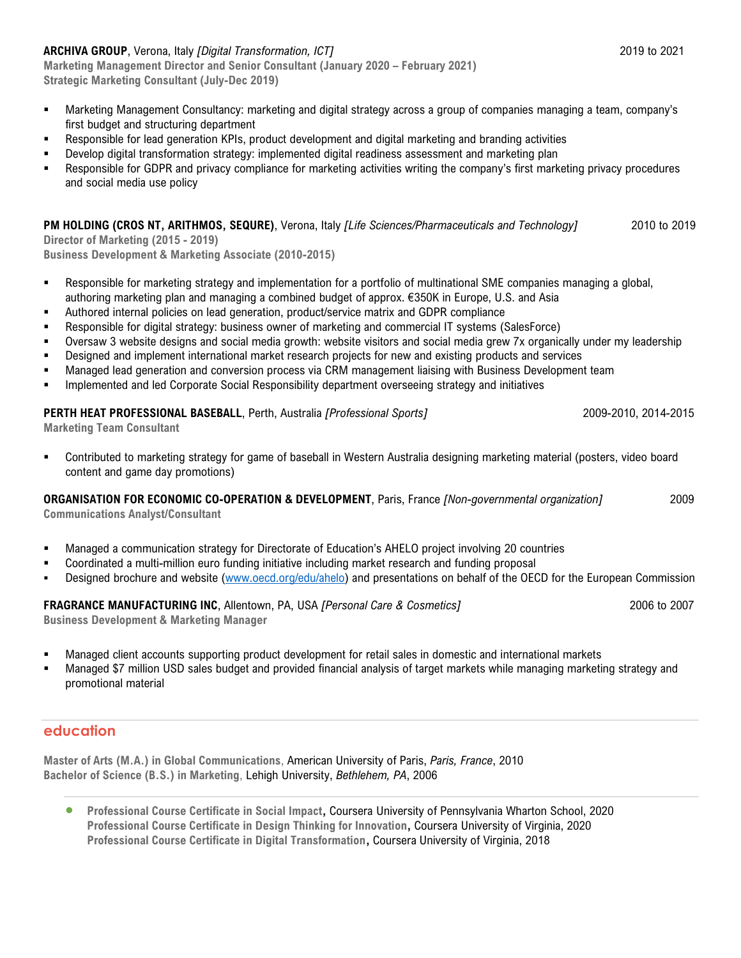## **ARCHIVA GROUP**, Verona, Italy *[Digital Transformation, ICT]* 2019 to 2021

**Marketing Management Director and Senior Consultant (January 2020 – February 2021) Strategic Marketing Consultant (July-Dec 2019)**

- Marketing Management Consultancy: marketing and digital strategy across a group of companies managing a team, company's first budget and structuring department
- Responsible for lead generation KPIs, product development and digital marketing and branding activities
- Develop digital transformation strategy: implemented digital readiness assessment and marketing plan
- Responsible for GDPR and privacy compliance for marketing activities writing the company's first marketing privacy procedures and social media use policy

# **PM HOLDING (CROS NT, ARITHMOS, SEQURE)**, Verona, Italy *[Life Sciences/Pharmaceuticals and Technology]* 2010 to 2019 **Director of Marketing (2015 - 2019) Business Development & Marketing Associate (2010-2015)**

- Responsible for marketing strategy and implementation for a portfolio of multinational SME companies managing a global,
- authoring marketing plan and managing a combined budget of approx. €350K in Europe, U.S. and Asia
- Authored internal policies on lead generation, product/service matrix and GDPR compliance
- **•** Responsible for digital strategy: business owner of marketing and commercial IT systems (SalesForce)
- Oversaw 3 website designs and social media growth: website visitors and social media grew 7x organically under my leadership
- Designed and implement international market research projects for new and existing products and services
- Managed lead generation and conversion process via CRM management liaising with Business Development team
- **·** Implemented and led Corporate Social Responsibility department overseeing strategy and initiatives

#### **PERTH HEAT PROFESSIONAL BASEBALL**, Perth, Australia *[Professional Sports]* 2009-2010, 2014-2015

**Marketing Team Consultant**

▪ Contributed to marketing strategy for game of baseball in Western Australia designing marketing material (posters, video board content and game day promotions)

#### **ORGANISATION FOR ECONOMIC CO-OPERATION & DEVELOPMENT**, Paris, France *[Non-governmental organization]* 2009

**Communications Analyst/Consultant**

- Managed a communication strategy for Directorate of Education's AHELO project involving 20 countries
- Coordinated a multi-million euro funding initiative including market research and funding proposal
- Designed brochure and website [\(www.oecd.org/edu/ahelo\)](http://www.oecd.org/edu/ahelo) and presentations on behalf of the OECD for the European Commission

# **FRAGRANCE MANUFACTURING INC**, Allentown, PA, USA *[Personal Care & Cosmetics]* 2006 to 2007

**Business Development & Marketing Manager**

- Managed client accounts supporting product development for retail sales in domestic and international markets
- Managed \$7 million USD sales budget and provided financial analysis of target markets while managing marketing strategy and promotional material

## **education**

**Master of Arts (M.A.) in Global Communications**, American University of Paris, *Paris, France*, 2010 **Bachelor of Science (B.S.) in Marketing**, Lehigh University, *Bethlehem, PA*, 2006

• **Professional Course Certificate in Social Impact,** Coursera University of Pennsylvania Wharton School, 2020 **Professional Course Certificate in Design Thinking for Innovation,** Coursera University of Virginia, 2020 **Professional Course Certificate in Digital Transformation,** Coursera University of Virginia, 2018